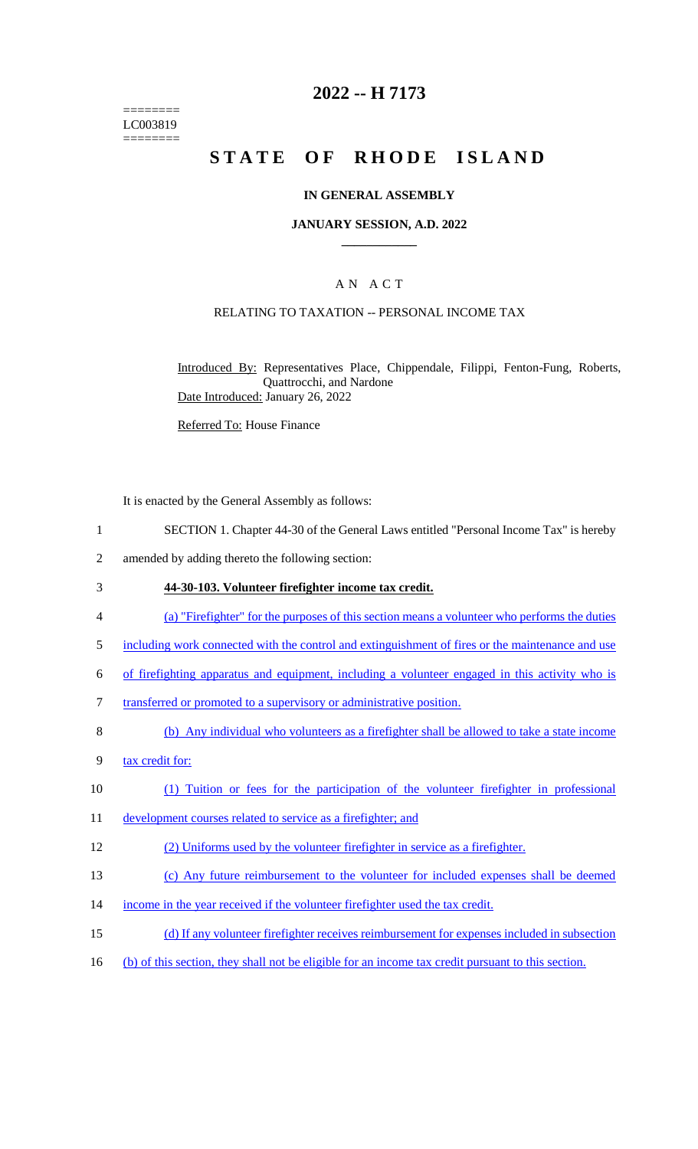======== LC003819 ========

## **2022 -- H 7173**

# **STATE OF RHODE ISLAND**

## **IN GENERAL ASSEMBLY**

## **JANUARY SESSION, A.D. 2022 \_\_\_\_\_\_\_\_\_\_\_\_**

## A N A C T

## RELATING TO TAXATION -- PERSONAL INCOME TAX

Introduced By: Representatives Place, Chippendale, Filippi, Fenton-Fung, Roberts, Quattrocchi, and Nardone Date Introduced: January 26, 2022

Referred To: House Finance

It is enacted by the General Assembly as follows:

- 1 SECTION 1. Chapter 44-30 of the General Laws entitled "Personal Income Tax" is hereby
- 2 amended by adding thereto the following section:

## 3 **44-30-103. Volunteer firefighter income tax credit.**

- 4 (a) "Firefighter" for the purposes of this section means a volunteer who performs the duties
- 5 including work connected with the control and extinguishment of fires or the maintenance and use
- 6 of firefighting apparatus and equipment, including a volunteer engaged in this activity who is
- 7 transferred or promoted to a supervisory or administrative position.
- 8 (b) Any individual who volunteers as a firefighter shall be allowed to take a state income
- 9 tax credit for:
- 10 (1) Tuition or fees for the participation of the volunteer firefighter in professional
- 11 development courses related to service as a firefighter; and

12 (2) Uniforms used by the volunteer firefighter in service as a firefighter.

- 13 (c) Any future reimbursement to the volunteer for included expenses shall be deemed
- 14 income in the year received if the volunteer firefighter used the tax credit.
- 15 (d) If any volunteer firefighter receives reimbursement for expenses included in subsection
- 16 (b) of this section, they shall not be eligible for an income tax credit pursuant to this section.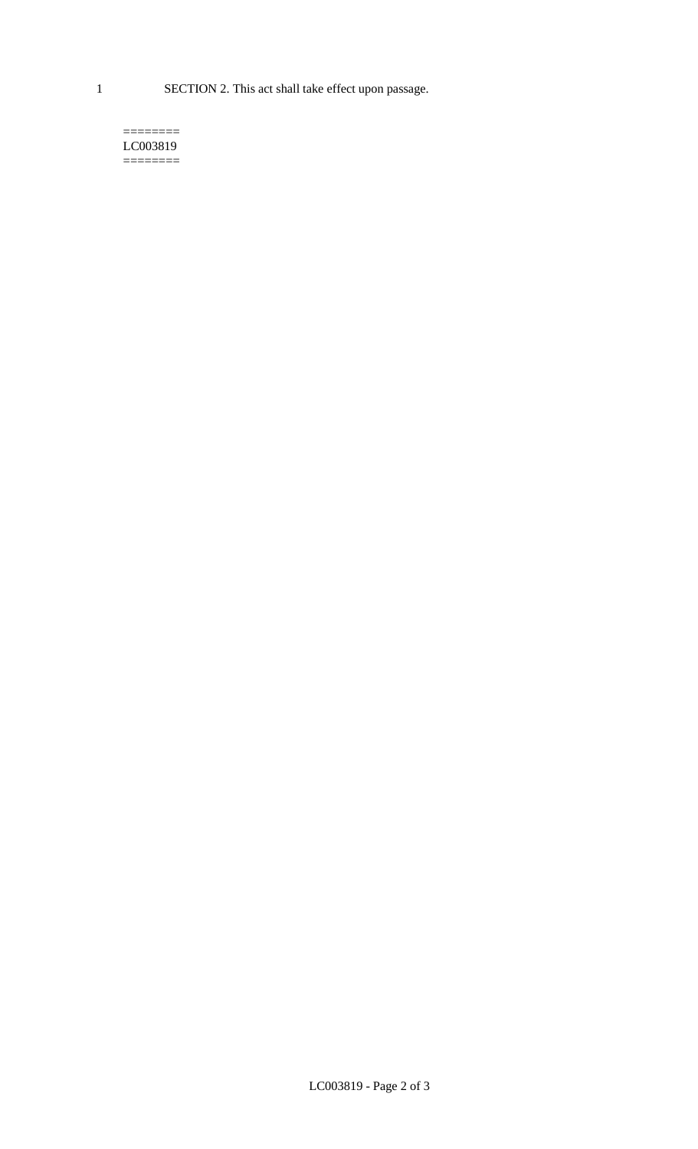1 SECTION 2. This act shall take effect upon passage.

#### $=$ LC003819 ========

LC003819 - Page 2 of 3